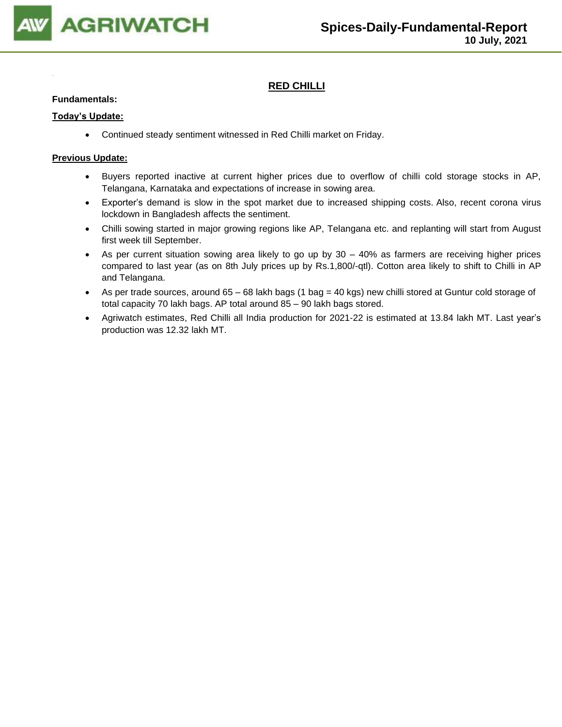

## **RED CHILLI**

## **Fundamentals:**

## **Today's Update:**

• Continued steady sentiment witnessed in Red Chilli market on Friday.

- Buyers reported inactive at current higher prices due to overflow of chilli cold storage stocks in AP, Telangana, Karnataka and expectations of increase in sowing area.
- Exporter's demand is slow in the spot market due to increased shipping costs. Also, recent corona virus lockdown in Bangladesh affects the sentiment.
- Chilli sowing started in major growing regions like AP, Telangana etc. and replanting will start from August first week till September.
- As per current situation sowing area likely to go up by 30 40% as farmers are receiving higher prices compared to last year (as on 8th July prices up by Rs.1,800/-qtl). Cotton area likely to shift to Chilli in AP and Telangana.
- As per trade sources, around 65 68 lakh bags (1 bag = 40 kgs) new chilli stored at Guntur cold storage of total capacity 70 lakh bags. AP total around 85 – 90 lakh bags stored.
- Agriwatch estimates, Red Chilli all India production for 2021-22 is estimated at 13.84 lakh MT. Last year's production was 12.32 lakh MT.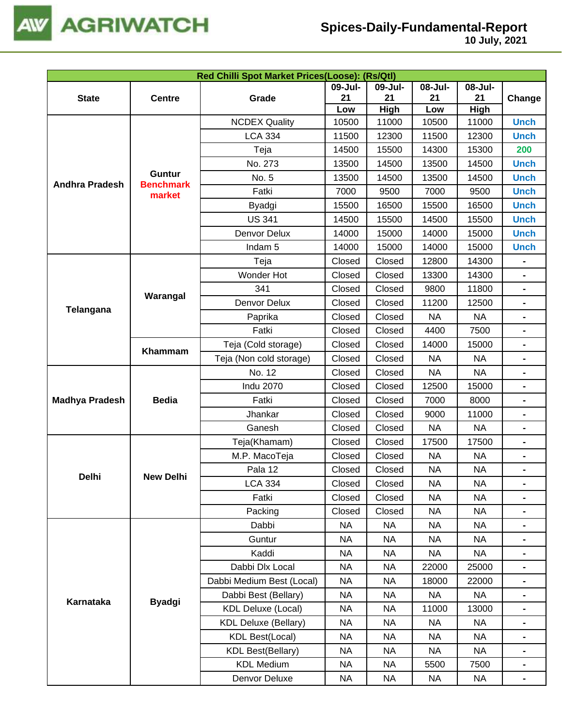

|                       |                  |                             | Red Chilli Spot Market Prices(Loose): (Rs/Qtl) |           |           |                            |                                                                                                                                                                                                                                                                                                                                                            |  |  |  |  |  |
|-----------------------|------------------|-----------------------------|------------------------------------------------|-----------|-----------|----------------------------|------------------------------------------------------------------------------------------------------------------------------------------------------------------------------------------------------------------------------------------------------------------------------------------------------------------------------------------------------------|--|--|--|--|--|
|                       |                  |                             | 09-Jul-                                        | 09-Jul-   | 08-Jul-   | 08-Jul-                    |                                                                                                                                                                                                                                                                                                                                                            |  |  |  |  |  |
| <b>State</b>          | <b>Centre</b>    | Grade                       | 21                                             | 21        | 21        |                            | Change<br><b>Unch</b><br><b>Unch</b><br>200<br><b>Unch</b><br><b>Unch</b><br><b>Unch</b><br><b>Unch</b><br><b>Unch</b><br><b>Unch</b><br><b>Unch</b><br>$\blacksquare$<br>$\blacksquare$<br>$\blacksquare$<br>$\blacksquare$<br>$\blacksquare$<br>$\blacksquare$<br>$\blacksquare$<br>$\blacksquare$<br>$\blacksquare$<br>$\blacksquare$<br>$\blacksquare$ |  |  |  |  |  |
|                       |                  |                             | Low                                            | High      | Low       |                            |                                                                                                                                                                                                                                                                                                                                                            |  |  |  |  |  |
|                       |                  | <b>NCDEX Quality</b>        | 10500                                          | 11000     | 10500     |                            |                                                                                                                                                                                                                                                                                                                                                            |  |  |  |  |  |
|                       |                  | <b>LCA 334</b>              | 11500                                          | 12300     | 11500     |                            | 21<br>High<br>11000<br>12300<br>15300<br>14500<br>14500<br>9500<br>16500<br>$\blacksquare$                                                                                                                                                                                                                                                                 |  |  |  |  |  |
|                       |                  | Teja                        | 14500                                          | 15500     | 14300     |                            |                                                                                                                                                                                                                                                                                                                                                            |  |  |  |  |  |
|                       | <b>Guntur</b>    | No. 273                     | 13500                                          | 14500     | 13500     |                            |                                                                                                                                                                                                                                                                                                                                                            |  |  |  |  |  |
| <b>Andhra Pradesh</b> | <b>Benchmark</b> | No. 5                       | 13500                                          | 14500     | 13500     |                            |                                                                                                                                                                                                                                                                                                                                                            |  |  |  |  |  |
|                       | market           | Fatki                       | 7000                                           | 9500      | 7000      |                            |                                                                                                                                                                                                                                                                                                                                                            |  |  |  |  |  |
|                       |                  | Byadgi                      | 15500                                          | 16500     | 15500     |                            |                                                                                                                                                                                                                                                                                                                                                            |  |  |  |  |  |
|                       |                  | <b>US 341</b>               | 14500                                          | 15500     | 14500     | 15500                      |                                                                                                                                                                                                                                                                                                                                                            |  |  |  |  |  |
|                       |                  | Denvor Delux                | 14000                                          | 15000     | 14000     |                            |                                                                                                                                                                                                                                                                                                                                                            |  |  |  |  |  |
|                       |                  | Indam <sub>5</sub>          | 14000                                          | 15000     | 14000     |                            |                                                                                                                                                                                                                                                                                                                                                            |  |  |  |  |  |
|                       |                  | Teja                        | Closed                                         | Closed    | 12800     |                            |                                                                                                                                                                                                                                                                                                                                                            |  |  |  |  |  |
| Telangana             |                  | Wonder Hot                  | Closed                                         | Closed    | 13300     |                            |                                                                                                                                                                                                                                                                                                                                                            |  |  |  |  |  |
|                       | Warangal         | 341                         | Closed                                         | Closed    | 9800      |                            |                                                                                                                                                                                                                                                                                                                                                            |  |  |  |  |  |
|                       |                  | Denvor Delux                | Closed                                         | Closed    | 11200     |                            |                                                                                                                                                                                                                                                                                                                                                            |  |  |  |  |  |
|                       |                  | Paprika                     | Closed                                         | Closed    | <b>NA</b> |                            |                                                                                                                                                                                                                                                                                                                                                            |  |  |  |  |  |
|                       |                  | Fatki                       | Closed                                         | Closed    | 4400      |                            |                                                                                                                                                                                                                                                                                                                                                            |  |  |  |  |  |
|                       | Khammam          | Teja (Cold storage)         | Closed                                         | Closed    | 14000     |                            |                                                                                                                                                                                                                                                                                                                                                            |  |  |  |  |  |
|                       |                  | Teja (Non cold storage)     | Closed                                         | Closed    | <b>NA</b> |                            |                                                                                                                                                                                                                                                                                                                                                            |  |  |  |  |  |
|                       |                  | No. 12                      | Closed                                         | Closed    | <b>NA</b> |                            |                                                                                                                                                                                                                                                                                                                                                            |  |  |  |  |  |
|                       |                  | <b>Indu 2070</b>            | Closed                                         | Closed    | 12500     | 15000                      |                                                                                                                                                                                                                                                                                                                                                            |  |  |  |  |  |
| <b>Madhya Pradesh</b> | <b>Bedia</b>     | Fatki                       | Closed                                         | Closed    | 7000      | <b>NA</b><br>8000<br>11000 |                                                                                                                                                                                                                                                                                                                                                            |  |  |  |  |  |
|                       |                  | Jhankar                     | Closed                                         | Closed    | 9000      |                            |                                                                                                                                                                                                                                                                                                                                                            |  |  |  |  |  |
|                       |                  | Ganesh                      | Closed                                         | Closed    | <b>NA</b> | <b>NA</b>                  |                                                                                                                                                                                                                                                                                                                                                            |  |  |  |  |  |
|                       |                  | Teja(Khamam)                | Closed                                         | Closed    | 17500     | 17500                      |                                                                                                                                                                                                                                                                                                                                                            |  |  |  |  |  |
|                       |                  | M.P. MacoTeja               | Closed                                         | Closed    | <b>NA</b> | <b>NA</b>                  |                                                                                                                                                                                                                                                                                                                                                            |  |  |  |  |  |
| Delhi                 | <b>New Delhi</b> | Pala 12                     | Closed                                         | Closed    | <b>NA</b> | <b>NA</b>                  |                                                                                                                                                                                                                                                                                                                                                            |  |  |  |  |  |
|                       |                  | <b>LCA 334</b>              | Closed                                         | Closed    | <b>NA</b> | <b>NA</b>                  |                                                                                                                                                                                                                                                                                                                                                            |  |  |  |  |  |
|                       |                  | Fatki                       | Closed                                         | Closed    | <b>NA</b> | <b>NA</b>                  | 15000<br>15000<br>14300<br>14300<br>11800<br>12500<br><b>NA</b><br>7500<br>15000<br><b>NA</b><br><b>NA</b><br><b>NA</b><br><b>NA</b><br><b>NA</b><br>25000<br>22000<br><b>NA</b><br>13000<br><b>NA</b><br><b>NA</b>                                                                                                                                        |  |  |  |  |  |
|                       |                  | Packing                     | Closed                                         | Closed    | <b>NA</b> |                            |                                                                                                                                                                                                                                                                                                                                                            |  |  |  |  |  |
|                       |                  | Dabbi                       | NА                                             | <b>NA</b> | <b>NA</b> |                            |                                                                                                                                                                                                                                                                                                                                                            |  |  |  |  |  |
|                       |                  | Guntur                      | <b>NA</b>                                      | <b>NA</b> | <b>NA</b> |                            |                                                                                                                                                                                                                                                                                                                                                            |  |  |  |  |  |
|                       |                  | Kaddi                       | NА                                             | <b>NA</b> | <b>NA</b> |                            |                                                                                                                                                                                                                                                                                                                                                            |  |  |  |  |  |
|                       |                  | Dabbi Dlx Local             | <b>NA</b>                                      | <b>NA</b> | 22000     |                            |                                                                                                                                                                                                                                                                                                                                                            |  |  |  |  |  |
|                       |                  | Dabbi Medium Best (Local)   | <b>NA</b>                                      | <b>NA</b> | 18000     |                            |                                                                                                                                                                                                                                                                                                                                                            |  |  |  |  |  |
|                       |                  | Dabbi Best (Bellary)        | NА                                             | <b>NA</b> | <b>NA</b> |                            |                                                                                                                                                                                                                                                                                                                                                            |  |  |  |  |  |
| Karnataka             | <b>Byadgi</b>    | <b>KDL Deluxe (Local)</b>   | NА                                             | <b>NA</b> | 11000     |                            |                                                                                                                                                                                                                                                                                                                                                            |  |  |  |  |  |
|                       |                  | <b>KDL Deluxe (Bellary)</b> | <b>NA</b>                                      | <b>NA</b> | <b>NA</b> |                            |                                                                                                                                                                                                                                                                                                                                                            |  |  |  |  |  |
|                       |                  | <b>KDL Best(Local)</b>      | <b>NA</b>                                      | <b>NA</b> | <b>NA</b> |                            |                                                                                                                                                                                                                                                                                                                                                            |  |  |  |  |  |
|                       |                  | <b>KDL Best(Bellary)</b>    | NA                                             | <b>NA</b> | <b>NA</b> | <b>NA</b>                  |                                                                                                                                                                                                                                                                                                                                                            |  |  |  |  |  |
|                       |                  | <b>KDL Medium</b>           | <b>NA</b>                                      | <b>NA</b> | 5500      | 7500                       |                                                                                                                                                                                                                                                                                                                                                            |  |  |  |  |  |
|                       |                  | Denvor Deluxe               | <b>NA</b>                                      | <b>NA</b> | <b>NA</b> | NA                         |                                                                                                                                                                                                                                                                                                                                                            |  |  |  |  |  |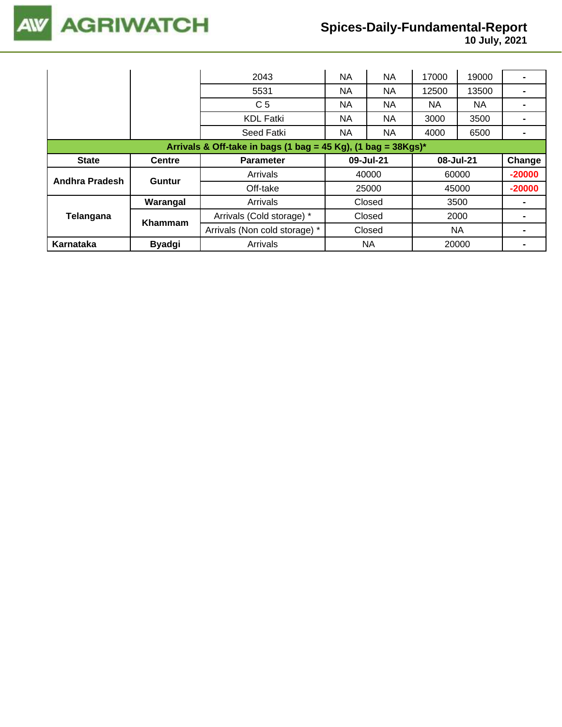

 **10 July, 2021**

|                                                                  |               | 2043                          | NA                     | <b>NA</b> | 17000  | 19000     |          |  |  |
|------------------------------------------------------------------|---------------|-------------------------------|------------------------|-----------|--------|-----------|----------|--|--|
|                                                                  |               | 5531                          | NA                     | <b>NA</b> | 12500  | 13500     |          |  |  |
|                                                                  |               | C <sub>5</sub>                | NA.                    | NА        | NA.    | NA.       |          |  |  |
|                                                                  |               | <b>KDL Fatki</b>              | NA                     | NA        | 3000   | 3500      |          |  |  |
|                                                                  |               | Seed Fatki                    | NA.                    | <b>NA</b> | 4000   | 6500      |          |  |  |
| Arrivals & Off-take in bags (1 bag = 45 Kg), (1 bag = $38Kgs$ )* |               |                               |                        |           |        |           |          |  |  |
| <b>State</b>                                                     | <b>Centre</b> | <b>Parameter</b>              | 09-Jul-21<br>08-Jul-21 |           | Change |           |          |  |  |
| Andhra Pradesh                                                   | <b>Guntur</b> | Arrivals                      | 40000                  |           | 60000  |           | $-20000$ |  |  |
|                                                                  |               | Off-take                      |                        | 25000     |        | 45000     | $-20000$ |  |  |
|                                                                  | Warangal      | Arrivals                      | Closed                 |           | 3500   |           |          |  |  |
| Telangana                                                        | Khammam       | Arrivals (Cold storage) *     |                        | Closed    | 2000   |           |          |  |  |
|                                                                  |               | Arrivals (Non cold storage) * |                        | Closed    |        | <b>NA</b> |          |  |  |
| Karnataka                                                        | <b>Byadgi</b> | Arrivals                      | NA.                    |           | 20000  |           |          |  |  |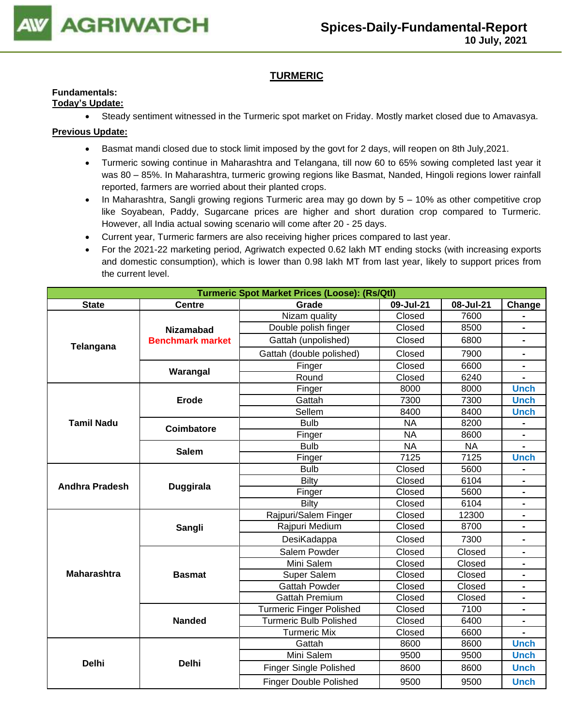

## **TURMERIC**

## **Fundamentals:**

## **Today's Update:**

• Steady sentiment witnessed in the Turmeric spot market on Friday. Mostly market closed due to Amavasya.

- Basmat mandi closed due to stock limit imposed by the govt for 2 days, will reopen on 8th July,2021.
- Turmeric sowing continue in Maharashtra and Telangana, till now 60 to 65% sowing completed last year it was 80 – 85%. In Maharashtra, turmeric growing regions like Basmat, Nanded, Hingoli regions lower rainfall reported, farmers are worried about their planted crops.
- In Maharashtra, Sangli growing regions Turmeric area may go down by 5 10% as other competitive crop like Soyabean, Paddy, Sugarcane prices are higher and short duration crop compared to Turmeric. However, all India actual sowing scenario will come after 20 - 25 days.
- Current year, Turmeric farmers are also receiving higher prices compared to last year.
- For the 2021-22 marketing period, Agriwatch expected 0.62 lakh MT ending stocks (with increasing exports and domestic consumption), which is lower than 0.98 lakh MT from last year, likely to support prices from the current level.

| <b>Turmeric Spot Market Prices (Loose): (Rs/Qtl)</b> |                         |                                 |           |                                                                                                                                                                                                                                                                       |                                                          |  |  |  |  |
|------------------------------------------------------|-------------------------|---------------------------------|-----------|-----------------------------------------------------------------------------------------------------------------------------------------------------------------------------------------------------------------------------------------------------------------------|----------------------------------------------------------|--|--|--|--|
| <b>State</b>                                         | <b>Centre</b>           | Grade                           | 09-Jul-21 | 08-Jul-21                                                                                                                                                                                                                                                             | Change                                                   |  |  |  |  |
|                                                      |                         | Nizam quality                   | Closed    | 7600                                                                                                                                                                                                                                                                  |                                                          |  |  |  |  |
|                                                      | <b>Nizamabad</b>        | Double polish finger            | Closed    | 8500                                                                                                                                                                                                                                                                  |                                                          |  |  |  |  |
| Telangana                                            | <b>Benchmark market</b> | Gattah (unpolished)             | Closed    | 6800                                                                                                                                                                                                                                                                  |                                                          |  |  |  |  |
|                                                      |                         | Gattah (double polished)        | Closed    | 7900                                                                                                                                                                                                                                                                  | $\blacksquare$                                           |  |  |  |  |
|                                                      | Warangal                | Finger                          | Closed    | 6600                                                                                                                                                                                                                                                                  |                                                          |  |  |  |  |
|                                                      |                         | Round                           | Closed    | 6240                                                                                                                                                                                                                                                                  |                                                          |  |  |  |  |
|                                                      |                         | Finger                          | 8000      | 8000                                                                                                                                                                                                                                                                  | <b>Unch</b>                                              |  |  |  |  |
|                                                      | <b>Erode</b>            | Gattah                          | 7300      | 7300                                                                                                                                                                                                                                                                  | <b>Unch</b>                                              |  |  |  |  |
|                                                      |                         | Sellem                          | 8400      | 8400                                                                                                                                                                                                                                                                  | <b>Unch</b>                                              |  |  |  |  |
| <b>Tamil Nadu</b>                                    | Coimbatore              | <b>Bulb</b>                     | <b>NA</b> | 8200<br>8600<br>$\blacksquare$<br><b>NA</b><br>7125<br><b>Unch</b><br>5600<br>6104<br>$\blacksquare$<br>5600<br>6104<br>12300<br>8700<br>$\blacksquare$<br>7300<br>Closed<br>Closed<br>Closed<br>Closed<br>$\blacksquare$<br>Closed<br>$\blacksquare$<br>7100<br>6400 |                                                          |  |  |  |  |
|                                                      |                         | Finger                          | <b>NA</b> |                                                                                                                                                                                                                                                                       |                                                          |  |  |  |  |
|                                                      | <b>Salem</b>            | <b>Bulb</b>                     | <b>NA</b> |                                                                                                                                                                                                                                                                       | <b>Unch</b><br><b>Unch</b><br><b>Unch</b><br><b>Unch</b> |  |  |  |  |
|                                                      |                         | Finger                          | 7125      |                                                                                                                                                                                                                                                                       |                                                          |  |  |  |  |
|                                                      |                         | <b>Bulb</b>                     | Closed    |                                                                                                                                                                                                                                                                       |                                                          |  |  |  |  |
| <b>Andhra Pradesh</b>                                | <b>Duggirala</b>        | <b>Bilty</b>                    | Closed    |                                                                                                                                                                                                                                                                       |                                                          |  |  |  |  |
|                                                      |                         | Finger                          | Closed    |                                                                                                                                                                                                                                                                       |                                                          |  |  |  |  |
|                                                      |                         | <b>Bilty</b>                    | Closed    |                                                                                                                                                                                                                                                                       |                                                          |  |  |  |  |
|                                                      |                         | Rajpuri/Salem Finger            | Closed    |                                                                                                                                                                                                                                                                       |                                                          |  |  |  |  |
|                                                      | Sangli                  | Rajpuri Medium                  | Closed    |                                                                                                                                                                                                                                                                       |                                                          |  |  |  |  |
|                                                      |                         | DesiKadappa                     | Closed    |                                                                                                                                                                                                                                                                       |                                                          |  |  |  |  |
|                                                      |                         | Salem Powder                    | Closed    |                                                                                                                                                                                                                                                                       |                                                          |  |  |  |  |
|                                                      |                         | Mini Salem                      | Closed    |                                                                                                                                                                                                                                                                       |                                                          |  |  |  |  |
| <b>Maharashtra</b>                                   | <b>Basmat</b>           | Super Salem                     | Closed    |                                                                                                                                                                                                                                                                       |                                                          |  |  |  |  |
|                                                      |                         | <b>Gattah Powder</b>            | Closed    |                                                                                                                                                                                                                                                                       |                                                          |  |  |  |  |
|                                                      |                         | <b>Gattah Premium</b>           | Closed    |                                                                                                                                                                                                                                                                       |                                                          |  |  |  |  |
|                                                      |                         | <b>Turmeric Finger Polished</b> | Closed    |                                                                                                                                                                                                                                                                       |                                                          |  |  |  |  |
|                                                      | <b>Nanded</b>           | <b>Turmeric Bulb Polished</b>   | Closed    |                                                                                                                                                                                                                                                                       |                                                          |  |  |  |  |
|                                                      |                         | <b>Turmeric Mix</b>             | Closed    | 6600                                                                                                                                                                                                                                                                  |                                                          |  |  |  |  |
|                                                      |                         | Gattah                          | 8600      | 8600                                                                                                                                                                                                                                                                  |                                                          |  |  |  |  |
|                                                      |                         | Mini Salem                      | 9500      | 9500                                                                                                                                                                                                                                                                  |                                                          |  |  |  |  |
| <b>Delhi</b>                                         | <b>Delhi</b>            | Finger Single Polished          | 8600      | 8600                                                                                                                                                                                                                                                                  |                                                          |  |  |  |  |
|                                                      |                         | <b>Finger Double Polished</b>   | 9500      | 9500                                                                                                                                                                                                                                                                  |                                                          |  |  |  |  |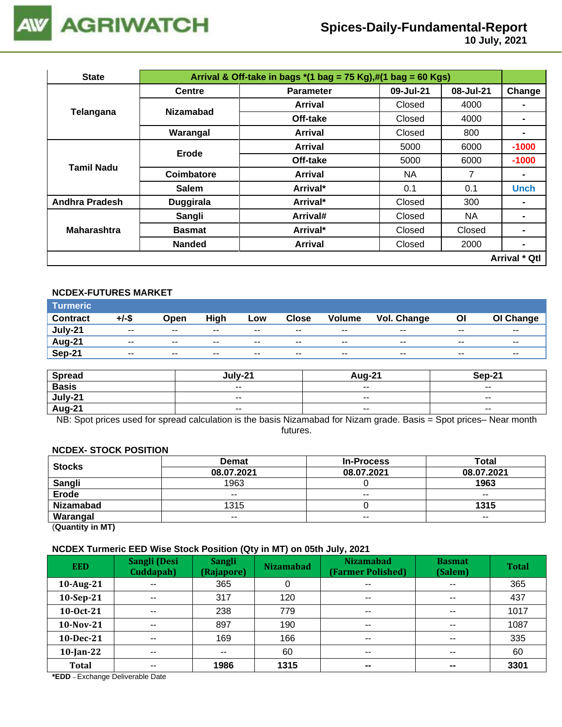

 **10 July, 2021**

| <b>State</b>          |                  | Arrival & Off-take in bags $*(1 \text{ bag} = 75 \text{ Kg}),\#(1 \text{ bag} = 60 \text{ Kg})$ |           |           |                      |  |  |  |  |
|-----------------------|------------------|-------------------------------------------------------------------------------------------------|-----------|-----------|----------------------|--|--|--|--|
|                       | <b>Centre</b>    | <b>Parameter</b>                                                                                | 09-Jul-21 | 08-Jul-21 | Change               |  |  |  |  |
|                       | <b>Nizamabad</b> | <b>Arrival</b>                                                                                  | Closed    | 4000      | $\blacksquare$       |  |  |  |  |
| Telangana             |                  | Off-take                                                                                        | Closed    | 4000      |                      |  |  |  |  |
|                       | Warangal         | <b>Arrival</b>                                                                                  | Closed    | 800       | $\blacksquare$       |  |  |  |  |
|                       | Erode            | <b>Arrival</b>                                                                                  | 5000      | 6000      | $-1000$              |  |  |  |  |
| Tamil Nadu            |                  | Off-take                                                                                        | 5000      | 6000      | $-1000$              |  |  |  |  |
|                       | Coimbatore       | Arrival                                                                                         | NA.       | 7         | $\blacksquare$       |  |  |  |  |
|                       | <b>Salem</b>     | Arrival*                                                                                        | 0.1       | 0.1       | <b>Unch</b>          |  |  |  |  |
| <b>Andhra Pradesh</b> | <b>Duggirala</b> | Arrival*                                                                                        | Closed    | 300       | $\blacksquare$       |  |  |  |  |
|                       | Sangli           | Arrival#                                                                                        | Closed    | NA        | $\blacksquare$       |  |  |  |  |
| <b>Maharashtra</b>    | <b>Basmat</b>    | Arrival*                                                                                        | Closed    | Closed    |                      |  |  |  |  |
|                       | <b>Nanded</b>    | <b>Arrival</b>                                                                                  | Closed    | 2000      | $\blacksquare$       |  |  |  |  |
|                       |                  |                                                                                                 |           |           | <b>Arrival * Qtl</b> |  |  |  |  |

## **NCDEX-FUTURES MARKET**

| Turmeric        |               |       |       |        |              |               |             |       |           |
|-----------------|---------------|-------|-------|--------|--------------|---------------|-------------|-------|-----------|
| <b>Contract</b> | +/-\$         | Open  | High  | Low    | <b>Close</b> | <b>Volume</b> | Vol. Change | ΟI    | OI Change |
| July-21         | $\sim$ $\sim$ | $- -$ | $- -$ | $\sim$ | $- -$        | $\sim$ $\sim$ | $- -$       | $- -$ | $- -$     |
| <b>Aug-21</b>   | $- -$         | $- -$ | $- -$ | $- -$  | $- -$        | $- -$         | $- -$       | $- -$ | $- -$     |
| <b>Sep-21</b>   | $\sim$ $\sim$ | $- -$ | $- -$ | $- -$  | $- -$        | $- -$         | $- -$       | $- -$ | $- -$     |

| <b>Spread</b> | Julv-21                  | Aug-21                   | Sep-21                   |
|---------------|--------------------------|--------------------------|--------------------------|
| <b>Basis</b>  | $\overline{\phantom{a}}$ | $\sim$ $\sim$            | $\overline{\phantom{a}}$ |
| July-21       | $\sim$ $\sim$            | $\overline{\phantom{m}}$ | $\overline{\phantom{a}}$ |
| Aug-21        | $- -$                    | $- -$                    | $- -$                    |

NB: Spot prices used for spread calculation is the basis Nizamabad for Nizam grade. Basis = Spot prices– Near month futures.

## **NCDEX- STOCK POSITION**

| <b>Stocks</b>                                  | <b>Demat</b> | <b>In-Process</b> | Total         |
|------------------------------------------------|--------------|-------------------|---------------|
|                                                | 08.07.2021   | 08.07.2021        | 08.07.2021    |
| Sangli                                         | 1963         |                   | 1963          |
| <b>Erode</b>                                   | $- -$        | $- -$             | $\sim$ $\sim$ |
| <b>Nizamabad</b>                               | 1315         |                   | 1315          |
| Warangal                                       | $- -$        | $- -$             | $- -$         |
| $\mathbf{a}$ and $\mathbf{b}$ and $\mathbf{c}$ |              |                   |               |

(**Quantity in MT)**

## **NCDEX Turmeric EED Wise Stock Position (Qty in MT) on 05th July, 2021**

| <b>EED</b>   | Sangli (Desi<br>Cuddapah) | <b>Sangli</b><br>(Rajapore) | <b>Nizamabad</b> | <b>Nizamabad</b><br>(Farmer Polished) | <b>Basmat</b><br>(Salem) | <b>Total</b> |
|--------------|---------------------------|-----------------------------|------------------|---------------------------------------|--------------------------|--------------|
| 10-Aug-21    | $\sim$ $\sim$             | 365                         |                  | $\sim$ $\sim$                         | $\sim$ $\sim$            | 365          |
| 10-Sep-21    | $\sim$ $\sim$             | 317                         | 120              | $\sim$ $\sim$                         | $\sim$ $\sim$            | 437          |
| 10-Oct-21    | $- -$                     | 238                         | 779              | $\sim$ $\sim$                         | $- -$                    | 1017         |
| 10-Nov-21    | $-$                       | 897                         | 190              | $\sim$ $\sim$                         | $\sim$ $\sim$            | 1087         |
| $10$ -Dec-21 | $- -$                     | 169                         | 166              | $\sim$ $\sim$                         | $\sim$ $\sim$            | 335          |
| $10$ -Jan-22 | $\sim$ $\sim$             | $- -$                       | 60               | $\overline{\phantom{a}}$              | $\sim$ $\sim$            | 60           |
| <b>Total</b> | $\sim$ $\sim$             | 1986                        | 1315             | $\overline{\phantom{a}}$              | $\overline{\phantom{a}}$ | 3301         |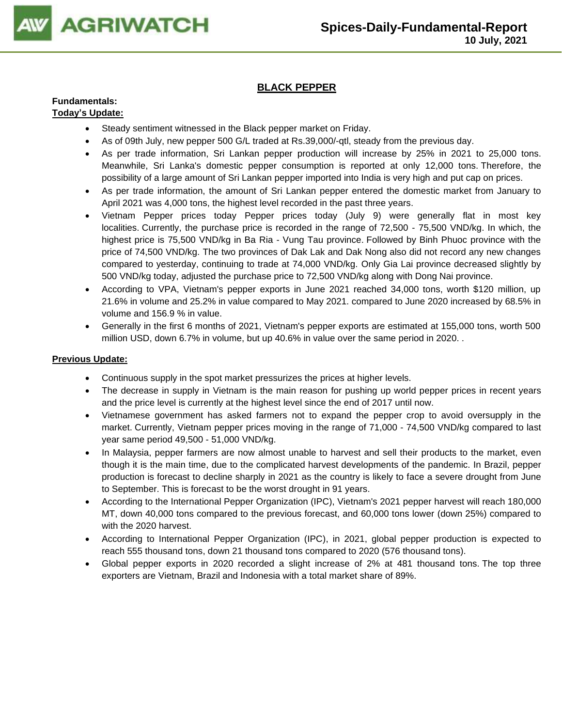

## **BLACK PEPPER**

#### **Fundamentals: Today's Update:**

- Steady sentiment witnessed in the Black pepper market on Friday.
- As of 09th July, new pepper 500 G/L traded at Rs.39,000/-qtl, steady from the previous day.
- As per trade information, Sri Lankan pepper production will increase by 25% in 2021 to 25,000 tons. Meanwhile, Sri Lanka's domestic pepper consumption is reported at only 12,000 tons. Therefore, the possibility of a large amount of Sri Lankan pepper imported into India is very high and put cap on prices.
- As per trade information, the amount of Sri Lankan pepper entered the domestic market from January to April 2021 was 4,000 tons, the highest level recorded in the past three years.
- Vietnam Pepper prices today Pepper prices today (July 9) were generally flat in most key localities. Currently, the purchase price is recorded in the range of 72,500 - 75,500 VND/kg. In which, the highest price is 75,500 VND/kg in Ba Ria - Vung Tau province. Followed by Binh Phuoc province with the price of 74,500 VND/kg. The two provinces of Dak Lak and Dak Nong also did not record any new changes compared to yesterday, continuing to trade at 74,000 VND/kg. Only Gia Lai province decreased slightly by 500 VND/kg today, adjusted the purchase price to 72,500 VND/kg along with Dong Nai province.
- According to VPA, Vietnam's pepper exports in June 2021 reached 34,000 tons, worth \$120 million, up 21.6% in volume and 25.2% in value compared to May 2021. compared to June 2020 increased by 68.5% in volume and 156.9 % in value.
- Generally in the first 6 months of 2021, Vietnam's pepper exports are estimated at 155,000 tons, worth 500 million USD, down 6.7% in volume, but up 40.6% in value over the same period in 2020. .

- Continuous supply in the spot market pressurizes the prices at higher levels.
- The decrease in supply in Vietnam is the main reason for pushing up world pepper prices in recent years and the price level is currently at the highest level since the end of 2017 until now.
- Vietnamese government has asked farmers not to expand the pepper crop to avoid oversupply in the market. Currently, Vietnam pepper prices moving in the range of 71,000 - 74,500 VND/kg compared to last year same period 49,500 - 51,000 VND/kg.
- In Malaysia, pepper farmers are now almost unable to harvest and sell their products to the market, even though it is the main time, due to the complicated harvest developments of the pandemic. In Brazil, pepper production is forecast to decline sharply in 2021 as the country is likely to face a severe drought from June to September. This is forecast to be the worst drought in 91 years.
- According to the International Pepper Organization (IPC), Vietnam's 2021 pepper harvest will reach 180,000 MT, down 40,000 tons compared to the previous forecast, and 60,000 tons lower (down 25%) compared to with the 2020 harvest.
- According to International Pepper Organization (IPC), in 2021, global pepper production is expected to reach 555 thousand tons, down 21 thousand tons compared to 2020 (576 thousand tons).
- Global pepper exports in 2020 recorded a slight increase of 2% at 481 thousand tons. The top three exporters are Vietnam, Brazil and Indonesia with a total market share of 89%.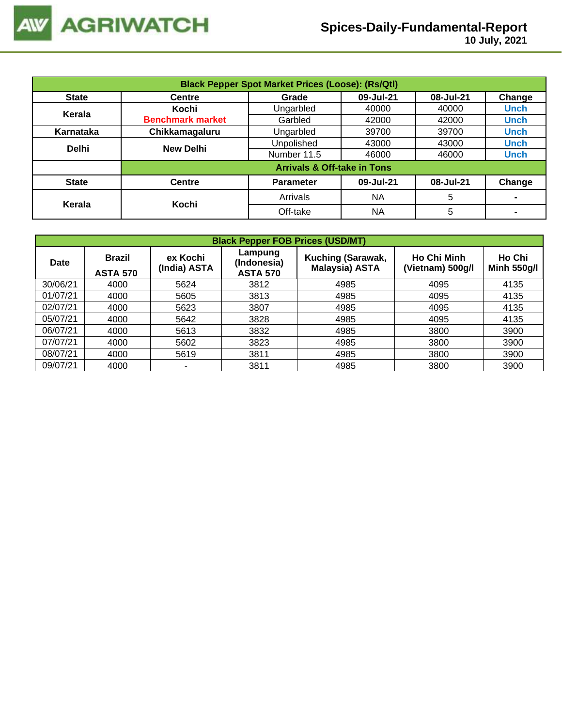**10 July, 2021**

| <b>Black Pepper Spot Market Prices (Loose): (Rs/Qtl)</b> |                                        |                  |           |           |                |  |  |  |
|----------------------------------------------------------|----------------------------------------|------------------|-----------|-----------|----------------|--|--|--|
| <b>State</b>                                             | Centre                                 | Grade            | 09-Jul-21 | 08-Jul-21 | Change         |  |  |  |
| Kerala                                                   | Kochi                                  | Ungarbled        | 40000     | 40000     | <b>Unch</b>    |  |  |  |
|                                                          | <b>Benchmark market</b>                | Garbled          | 42000     | 42000     | <b>Unch</b>    |  |  |  |
| Karnataka                                                | Chikkamagaluru                         | Ungarbled        | 39700     | 39700     | <b>Unch</b>    |  |  |  |
| <b>Delhi</b>                                             | <b>New Delhi</b>                       | Unpolished       | 43000     | 43000     | <b>Unch</b>    |  |  |  |
|                                                          |                                        | Number 11.5      | 46000     | 46000     | <b>Unch</b>    |  |  |  |
|                                                          | <b>Arrivals &amp; Off-take in Tons</b> |                  |           |           |                |  |  |  |
| <b>State</b>                                             | <b>Centre</b>                          | <b>Parameter</b> | 09-Jul-21 | 08-Jul-21 | Change         |  |  |  |
| Kerala                                                   | Kochi                                  | Arrivals         | NA        | 5         |                |  |  |  |
|                                                          |                                        | Off-take         | NA        | 5         | $\blacksquare$ |  |  |  |

| <b>Black Pepper FOB Prices (USD/MT)</b> |                                                              |      |                                                                                         |      |      |      |  |  |  |  |
|-----------------------------------------|--------------------------------------------------------------|------|-----------------------------------------------------------------------------------------|------|------|------|--|--|--|--|
| <b>Date</b>                             | ex Kochi<br><b>Brazil</b><br>(India) ASTA<br><b>ASTA 570</b> |      | Lampung<br>Kuching (Sarawak,<br>(Indonesia)<br><b>Malaysia) ASTA</b><br><b>ASTA 570</b> |      |      |      |  |  |  |  |
| 30/06/21                                | 4000                                                         | 5624 | 3812                                                                                    | 4985 | 4095 | 4135 |  |  |  |  |
| 01/07/21                                | 4000                                                         | 5605 | 3813                                                                                    | 4985 | 4095 | 4135 |  |  |  |  |
| 02/07/21                                | 4000                                                         | 5623 | 3807                                                                                    | 4985 | 4095 | 4135 |  |  |  |  |
| 05/07/21                                | 4000                                                         | 5642 | 3828                                                                                    | 4985 | 4095 | 4135 |  |  |  |  |
| 06/07/21                                | 4000                                                         | 5613 | 3832                                                                                    | 4985 | 3800 | 3900 |  |  |  |  |
| 07/07/21                                | 4000                                                         | 5602 | 3823                                                                                    | 4985 | 3800 | 3900 |  |  |  |  |
| 08/07/21                                | 4000                                                         | 5619 | 3811                                                                                    | 4985 | 3800 | 3900 |  |  |  |  |
| 09/07/21                                | 4000                                                         | ۰    | 3811                                                                                    | 4985 | 3800 | 3900 |  |  |  |  |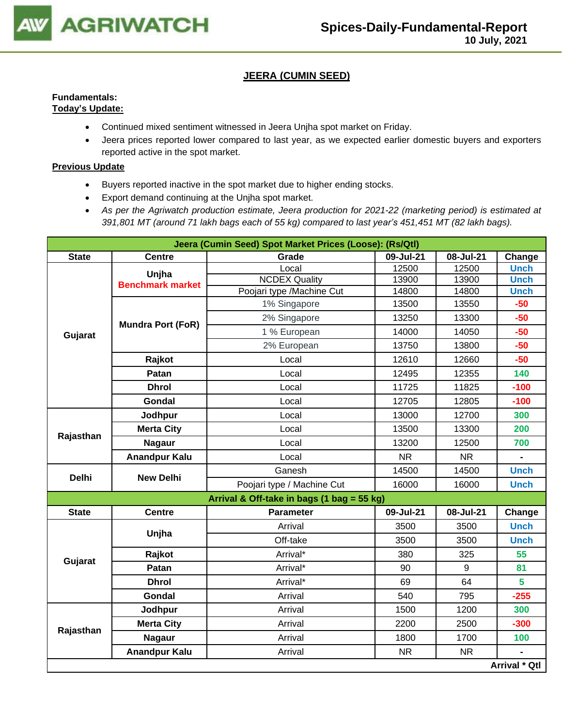

## **JEERA (CUMIN SEED)**

## **Fundamentals: Today's Update:**

- Continued mixed sentiment witnessed in Jeera Unjha spot market on Friday.
- Jeera prices reported lower compared to last year, as we expected earlier domestic buyers and exporters reported active in the spot market.

- Buyers reported inactive in the spot market due to higher ending stocks.
- Export demand continuing at the Unjha spot market.
- *As per the Agriwatch production estimate, Jeera production for 2021-22 (marketing period) is estimated at 391,801 MT (around 71 lakh bags each of 55 kg) compared to last year's 451,451 MT (82 lakh bags).*

|              | Jeera (Cumin Seed) Spot Market Prices (Loose): (Rs/Qtl) |                                            |           |           |                |  |  |  |  |  |
|--------------|---------------------------------------------------------|--------------------------------------------|-----------|-----------|----------------|--|--|--|--|--|
| <b>State</b> | <b>Centre</b>                                           | Grade                                      | 09-Jul-21 | 08-Jul-21 | Change         |  |  |  |  |  |
|              | Unjha                                                   | Local                                      | 12500     | 12500     | <b>Unch</b>    |  |  |  |  |  |
|              | <b>Benchmark market</b>                                 | <b>NCDEX Quality</b>                       | 13900     | 13900     | <b>Unch</b>    |  |  |  |  |  |
|              |                                                         | Poojari type /Machine Cut                  | 14800     | 14800     | <b>Unch</b>    |  |  |  |  |  |
|              |                                                         | 1% Singapore                               | 13500     | 13550     | $-50$          |  |  |  |  |  |
|              | <b>Mundra Port (FoR)</b>                                | 2% Singapore                               | 13250     | 13300     | $-50$          |  |  |  |  |  |
| Gujarat      |                                                         | 1 % European                               | 14000     | 14050     | $-50$          |  |  |  |  |  |
|              |                                                         | 2% European                                | 13750     | 13800     | $-50$          |  |  |  |  |  |
|              | Rajkot                                                  | Local                                      | 12610     | 12660     | $-50$          |  |  |  |  |  |
|              | Patan                                                   | Local                                      | 12495     | 12355     | 140            |  |  |  |  |  |
|              | <b>Dhrol</b>                                            | Local                                      | 11725     | 11825     | $-100$         |  |  |  |  |  |
|              | <b>Gondal</b>                                           | Local                                      | 12705     | 12805     | $-100$         |  |  |  |  |  |
| Rajasthan    | Jodhpur                                                 | Local                                      | 13000     | 12700     | 300            |  |  |  |  |  |
|              | <b>Merta City</b>                                       | Local                                      | 13500     | 13300     | 200            |  |  |  |  |  |
|              | <b>Nagaur</b>                                           | Local                                      | 13200     | 12500     | 700            |  |  |  |  |  |
|              | <b>Anandpur Kalu</b>                                    | Local                                      | <b>NR</b> | <b>NR</b> |                |  |  |  |  |  |
| <b>Delhi</b> | <b>New Delhi</b>                                        | Ganesh                                     | 14500     | 14500     | <b>Unch</b>    |  |  |  |  |  |
|              |                                                         | Poojari type / Machine Cut                 | 16000     | 16000     | <b>Unch</b>    |  |  |  |  |  |
|              |                                                         | Arrival & Off-take in bags (1 bag = 55 kg) |           |           |                |  |  |  |  |  |
| <b>State</b> | <b>Centre</b>                                           | <b>Parameter</b>                           | 09-Jul-21 | 08-Jul-21 | Change         |  |  |  |  |  |
|              | Unjha                                                   | Arrival                                    | 3500      | 3500      | <b>Unch</b>    |  |  |  |  |  |
|              |                                                         | Off-take                                   | 3500      | 3500      | <b>Unch</b>    |  |  |  |  |  |
|              | Rajkot                                                  | Arrival*                                   | 380       | 325       | 55             |  |  |  |  |  |
| Gujarat      | Patan                                                   | Arrival*                                   | 90        | 9         | 81             |  |  |  |  |  |
|              | <b>Dhrol</b>                                            | Arrival*                                   | 69        | 64        | 5 <sup>5</sup> |  |  |  |  |  |
|              | Gondal                                                  | Arrival                                    | 540       | 795       | $-255$         |  |  |  |  |  |
|              | Jodhpur                                                 | Arrival                                    | 1500      | 1200      | 300            |  |  |  |  |  |
|              | <b>Merta City</b>                                       | Arrival                                    | 2200      | 2500      | $-300$         |  |  |  |  |  |
| Rajasthan    | <b>Nagaur</b>                                           | Arrival                                    | 1800      | 1700      | 100            |  |  |  |  |  |
|              | <b>Anandpur Kalu</b>                                    | Arrival                                    | <b>NR</b> | <b>NR</b> |                |  |  |  |  |  |
|              |                                                         |                                            |           |           | Arrival * Qtl  |  |  |  |  |  |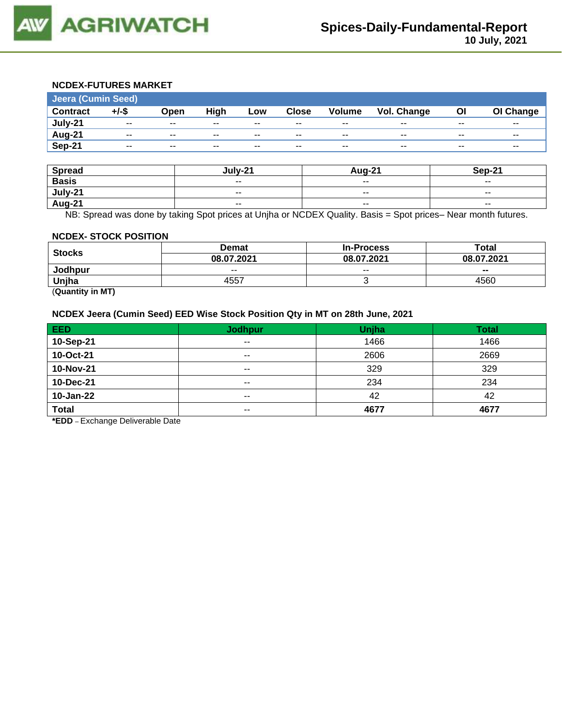

## **NCDEX-FUTURES MARKET**

| <b>Jeera (Cumin Seed)</b> |       |       |       |       |              |               |             |       |           |
|---------------------------|-------|-------|-------|-------|--------------|---------------|-------------|-------|-----------|
| <b>Contract</b>           | +/-\$ | Open  | High  | Low   | <b>Close</b> | <b>Volume</b> | Vol. Change | Οl    | OI Change |
| July-21                   | $- -$ | $- -$ | $- -$ | $- -$ | $- -$        | $- -$         | $- -$       | $- -$ | $- -$     |
| Aug-21                    | $- -$ | $- -$ | $- -$ | $- -$ | $- -$        | $- -$         | $- -$       | $- -$ | $- -$     |
| Sep-21                    | $- -$ | $- -$ | $- -$ | $- -$ | $- -$        | $- -$         | $- -$       | $- -$ | $- -$     |

| <b>Spread</b> | July-21                  | <b>Aug-21</b>            | <b>Sep-21</b>            |
|---------------|--------------------------|--------------------------|--------------------------|
| <b>Basis</b>  | $\sim$ $\sim$            | $- -$                    | $- -$                    |
| July-21       | $\overline{\phantom{a}}$ | $\sim$ $\sim$            | $-$                      |
| Aug-21        | $- -$                    | $\overline{\phantom{a}}$ | $\overline{\phantom{a}}$ |

NB: Spread was done by taking Spot prices at Unjha or NCDEX Quality. Basis = Spot prices– Near month futures.

#### **NCDEX- STOCK POSITION**

| <b>Stocks</b> | <b>Demat</b> | <b>In-Process</b> | Total      |  |
|---------------|--------------|-------------------|------------|--|
|               | 08.07.2021   | 08.07.2021        | 08.07.2021 |  |
| Jodhpur       | $- -$        | $- -$             | $- -$      |  |
| Unjha         | 4557         | ີ                 | 4560       |  |

(**Quantity in MT)**

## **NCDEX Jeera (Cumin Seed) EED Wise Stock Position Qty in MT on 28th June, 2021**

| EED          | <b>Jodhpur</b> | Unjha | <b>Total</b> |
|--------------|----------------|-------|--------------|
| 10-Sep-21    | $\sim$         | 1466  | 1466         |
| 10-Oct-21    | $- -$          | 2606  | 2669         |
| 10-Nov-21    | $\sim$ $\sim$  | 329   | 329          |
| 10-Dec-21    | $\sim$ $\sim$  | 234   | 234          |
| 10-Jan-22    | $- -$          | 42    | 42           |
| <b>Total</b> | $\sim$ $\sim$  | 4677  | 4677         |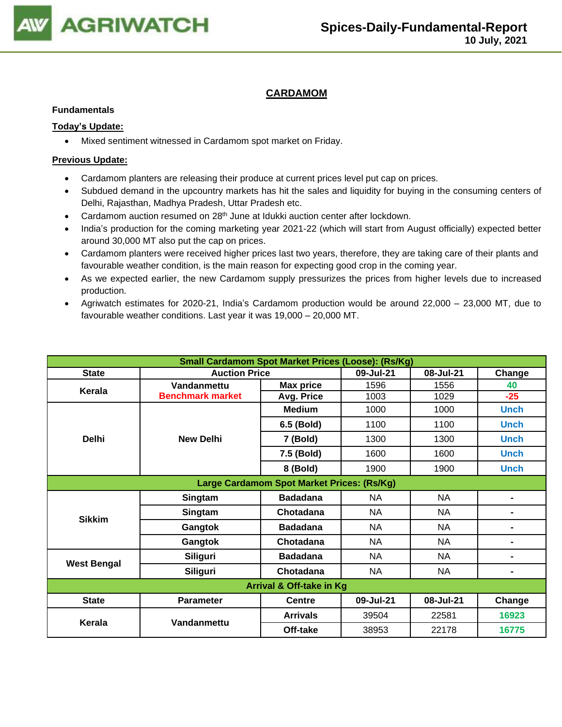

## **CARDAMOM**

## **Fundamentals**

## **Today's Update:**

• Mixed sentiment witnessed in Cardamom spot market on Friday.

- Cardamom planters are releasing their produce at current prices level put cap on prices.
- Subdued demand in the upcountry markets has hit the sales and liquidity for buying in the consuming centers of Delhi, Rajasthan, Madhya Pradesh, Uttar Pradesh etc.
- Cardamom auction resumed on 28<sup>th</sup> June at Idukki auction center after lockdown.
- India's production for the coming marketing year 2021-22 (which will start from August officially) expected better around 30,000 MT also put the cap on prices.
- Cardamom planters were received higher prices last two years, therefore, they are taking care of their plants and favourable weather condition, is the main reason for expecting good crop in the coming year.
- As we expected earlier, the new Cardamom supply pressurizes the prices from higher levels due to increased production.
- Agriwatch estimates for 2020-21, India's Cardamom production would be around 22,000 23,000 MT, due to favourable weather conditions. Last year it was 19,000 – 20,000 MT.

| <b>Small Cardamom Spot Market Prices (Loose): (Rs/Kg)</b> |                         |                                            |           |           |                |  |  |
|-----------------------------------------------------------|-------------------------|--------------------------------------------|-----------|-----------|----------------|--|--|
| <b>State</b>                                              | <b>Auction Price</b>    | 09-Jul-21                                  | 08-Jul-21 | Change    |                |  |  |
| Kerala                                                    | Vandanmettu             | <b>Max price</b>                           | 1596      | 1556      | 40             |  |  |
|                                                           | <b>Benchmark market</b> | Avg. Price                                 | 1003      | 1029      | $-25$          |  |  |
|                                                           |                         | <b>Medium</b>                              | 1000      | 1000      | <b>Unch</b>    |  |  |
|                                                           |                         | 6.5 (Bold)                                 | 1100      | 1100      | <b>Unch</b>    |  |  |
| <b>Delhi</b>                                              | <b>New Delhi</b>        | 7 (Bold)                                   | 1300      | 1300      | <b>Unch</b>    |  |  |
|                                                           |                         | 7.5 (Bold)                                 | 1600      | 1600      | <b>Unch</b>    |  |  |
|                                                           |                         | 8 (Bold)                                   | 1900      | 1900      | <b>Unch</b>    |  |  |
|                                                           |                         | Large Cardamom Spot Market Prices: (Rs/Kg) |           |           |                |  |  |
|                                                           | Singtam                 | <b>Badadana</b>                            | NA.       | <b>NA</b> | ۰              |  |  |
| <b>Sikkim</b>                                             | Singtam                 | Chotadana                                  | NA.       | <b>NA</b> | ۰              |  |  |
|                                                           | Gangtok                 | <b>Badadana</b>                            | NA.       | <b>NA</b> | ۰              |  |  |
|                                                           | Gangtok                 | Chotadana                                  | NA        | <b>NA</b> | -              |  |  |
| <b>West Bengal</b>                                        | <b>Siliguri</b>         | <b>Badadana</b>                            | <b>NA</b> | <b>NA</b> | $\blacksquare$ |  |  |
|                                                           | <b>Siliguri</b>         | Chotadana                                  | <b>NA</b> | <b>NA</b> | ۰              |  |  |
| Arrival & Off-take in Kg                                  |                         |                                            |           |           |                |  |  |
| <b>State</b>                                              | <b>Parameter</b>        | <b>Centre</b>                              | 09-Jul-21 | 08-Jul-21 | Change         |  |  |
| Kerala                                                    | Vandanmettu             | <b>Arrivals</b>                            | 39504     | 22581     | 16923          |  |  |
|                                                           |                         | Off-take                                   | 38953     | 22178     | 16775          |  |  |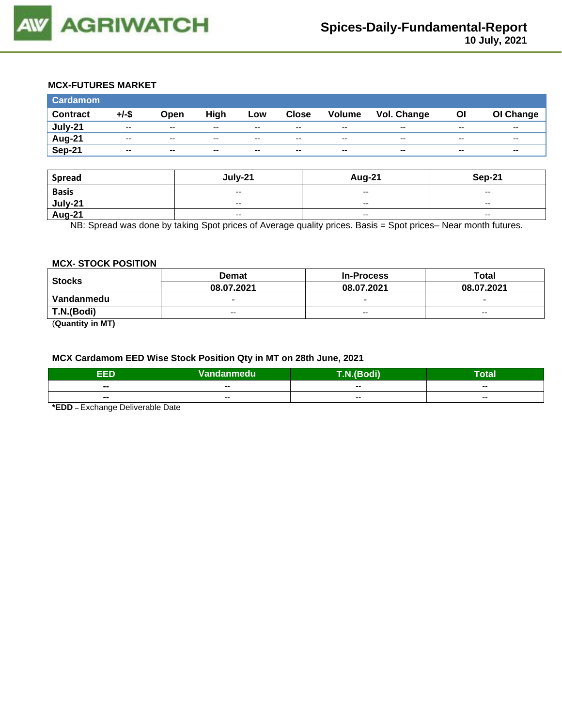

## **MCX-FUTURES MARKET**

| <b>Cardamom</b> |          |       |       |       |              |                          |             |           |                          |
|-----------------|----------|-------|-------|-------|--------------|--------------------------|-------------|-----------|--------------------------|
| <b>Contract</b> | $+/-$ \$ | Open  | High  | Low   | <b>Close</b> | <b>Volume</b>            | Vol. Change | <b>OI</b> | OI Change                |
| July-21         | $-$      | $- -$ | $- -$ | $- -$ | $- -$        | $- -$                    | $- -$       | $- -$     | $- -$                    |
| Aug-21          | $-$      | $-$   | $- -$ | $-$   | $-$          | $\overline{\phantom{a}}$ | $- -$       | $- -$     | $\overline{\phantom{a}}$ |
| Sep-21          | $-$      | $- -$ | $-$   | $-$   | $-$          | $\overline{\phantom{a}}$ | $- -$       | $- -$     | $\sim$ $\sim$            |

| <b>Spread</b>                   | July-21                                        | <b>Aug-21</b>            | Sep-21                   |
|---------------------------------|------------------------------------------------|--------------------------|--------------------------|
| <b>Basis</b>                    | $\overline{\phantom{a}}$                       | $\overline{\phantom{a}}$ | $- -$                    |
| <b>July-21</b><br><b>Aug-21</b> | $\overline{\phantom{a}}$                       | $-$                      | $\overline{\phantom{a}}$ |
|                                 | $\hspace{0.1mm}-\hspace{0.1mm}-\hspace{0.1mm}$ | $\overline{\phantom{a}}$ | $\overline{\phantom{a}}$ |

NB: Spread was done by taking Spot prices of Average quality prices. Basis = Spot prices– Near month futures.

## **MCX- STOCK POSITION**

| <b>Stocks</b>          | <b>Demat</b>             | <b>In-Process</b>        | Total                    |  |
|------------------------|--------------------------|--------------------------|--------------------------|--|
|                        | 08.07.2021               | 08.07.2021               | 08.07.2021               |  |
| Vandanmedu             | $\overline{\phantom{0}}$ | $\overline{\phantom{0}}$ | $\overline{\phantom{0}}$ |  |
| T.N.(Bodi)             | $-$                      | $- -$                    | $- -$                    |  |
| $\sim$ $\sim$<br>----- |                          |                          |                          |  |

(**Quantity in MT)**

## **MCX Cardamom EED Wise Stock Position Qty in MT on 28th June, 2021**

| EED   | Vandanmedu | $\mathbf{L}$<br>- 40<br>воон | ÷<br>Гоtal |
|-------|------------|------------------------------|------------|
| $- -$ | $- -$      | $- -$                        | $- -$      |
| $- -$ | $- -$      | $- -$                        | $- -$      |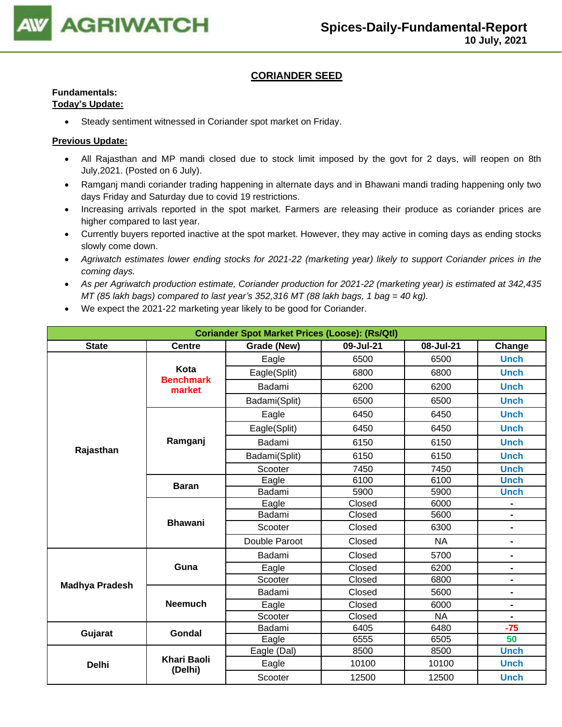

## **CORIANDER SEED**

## **Fundamentals:**

## **Today's Update:**

• Steady sentiment witnessed in Coriander spot market on Friday.

- All Rajasthan and MP mandi closed due to stock limit imposed by the govt for 2 days, will reopen on 8th July,2021. (Posted on 6 July).
- Ramganj mandi coriander trading happening in alternate days and in Bhawani mandi trading happening only two days Friday and Saturday due to covid 19 restrictions.
- Increasing arrivals reported in the spot market. Farmers are releasing their produce as coriander prices are higher compared to last year.
- Currently buyers reported inactive at the spot market. However, they may active in coming days as ending stocks slowly come down.
- *Agriwatch estimates lower ending stocks for 2021-22 (marketing year) likely to support Coriander prices in the coming days.*
- *As per Agriwatch production estimate, Coriander production for 2021-22 (marketing year) is estimated at 342,435 MT (85 lakh bags) compared to last year's 352,316 MT (88 lakh bags, 1 bag = 40 kg).*
- We expect the 2021-22 marketing year likely to be good for Coriander.

| <b>Coriander Spot Market Prices (Loose): (Rs/Qtl)</b> |                               |                                                 |        |           |                |  |  |
|-------------------------------------------------------|-------------------------------|-------------------------------------------------|--------|-----------|----------------|--|--|
| <b>State</b>                                          | <b>Centre</b>                 | 08-Jul-21<br>09-Jul-21<br>Grade (New)<br>Change |        |           |                |  |  |
|                                                       |                               | Eagle                                           | 6500   | 6500      | <b>Unch</b>    |  |  |
|                                                       | Kota                          | Eagle(Split)                                    | 6800   | 6800      | <b>Unch</b>    |  |  |
|                                                       | <b>Benchmark</b><br>market    | Badami                                          | 6200   | 6200      | <b>Unch</b>    |  |  |
|                                                       |                               | Badami(Split)                                   | 6500   | 6500      | <b>Unch</b>    |  |  |
|                                                       |                               | Eagle                                           | 6450   | 6450      | <b>Unch</b>    |  |  |
|                                                       |                               | Eagle(Split)                                    | 6450   | 6450      | <b>Unch</b>    |  |  |
|                                                       | Ramganj                       | Badami                                          | 6150   | 6150      | <b>Unch</b>    |  |  |
| Rajasthan                                             |                               | Badami(Split)                                   | 6150   | 6150      | <b>Unch</b>    |  |  |
|                                                       |                               | Scooter                                         | 7450   | 7450      | <b>Unch</b>    |  |  |
|                                                       |                               | Eagle                                           | 6100   | 6100      | <b>Unch</b>    |  |  |
|                                                       | <b>Baran</b>                  | Badami                                          | 5900   | 5900      | <b>Unch</b>    |  |  |
|                                                       | <b>Bhawani</b>                | Eagle                                           | Closed | 6000      |                |  |  |
|                                                       |                               | Badami                                          | Closed | 5600      | -              |  |  |
|                                                       |                               | Scooter                                         | Closed | 6300      | $\blacksquare$ |  |  |
|                                                       |                               | Double Paroot                                   | Closed | <b>NA</b> | Ξ.             |  |  |
|                                                       |                               | Badami                                          | Closed | 5700      | $\blacksquare$ |  |  |
|                                                       | Guna                          | Eagle                                           | Closed | 6200      | -              |  |  |
| <b>Madhya Pradesh</b>                                 |                               | Scooter                                         | Closed | 6800      |                |  |  |
|                                                       |                               | Badami                                          | Closed | 5600      | -              |  |  |
|                                                       | <b>Neemuch</b>                | Eagle                                           | Closed | 6000      | Ξ.             |  |  |
|                                                       |                               | Scooter                                         | Closed | <b>NA</b> | -              |  |  |
| Gujarat                                               | <b>Gondal</b>                 | Badami                                          | 6405   | 6480      | $-75$          |  |  |
|                                                       |                               | Eagle                                           | 6555   | 6505      | 50             |  |  |
|                                                       |                               | Eagle (Dal)                                     | 8500   | 8500      | <b>Unch</b>    |  |  |
| <b>Delhi</b>                                          | <b>Khari Baoli</b><br>(Delhi) | Eagle                                           | 10100  | 10100     | <b>Unch</b>    |  |  |
|                                                       |                               | Scooter                                         | 12500  | 12500     | <b>Unch</b>    |  |  |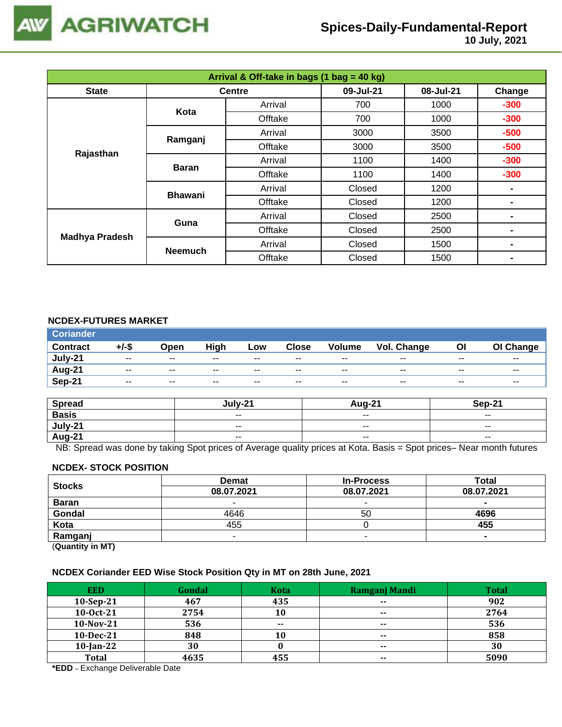

 **10 July, 2021**

| Arrival & Off-take in bags (1 bag = 40 kg) |                |               |           |           |                |  |  |
|--------------------------------------------|----------------|---------------|-----------|-----------|----------------|--|--|
| <b>State</b>                               |                | <b>Centre</b> | 09-Jul-21 | 08-Jul-21 | Change         |  |  |
|                                            | Kota           | Arrival       | 700       | 1000      | $-300$         |  |  |
|                                            |                | Offtake       | 700       | 1000      | $-300$         |  |  |
|                                            |                | Arrival       | 3000      | 3500      | $-500$         |  |  |
|                                            | Ramganj        | Offtake       | 3000      | 3500      | $-500$         |  |  |
| Rajasthan                                  | <b>Baran</b>   | Arrival       | 1100      | 1400      | $-300$         |  |  |
|                                            |                | Offtake       | 1100      | 1400      | $-300$         |  |  |
|                                            | <b>Bhawani</b> | Arrival       | Closed    | 1200      | -              |  |  |
|                                            |                | Offtake       | Closed    | 1200      | $\blacksquare$ |  |  |
|                                            | Guna           | Arrival       | Closed    | 2500      |                |  |  |
|                                            |                | Offtake       | Closed    | 2500      | -              |  |  |
| <b>Madhya Pradesh</b>                      | <b>Neemuch</b> | Arrival       | Closed    | 1500      | -              |  |  |
|                                            |                | Offtake       | Closed    | 1500      |                |  |  |

## **NCDEX-FUTURES MARKET**

| <b>Coriander</b> |               |               |       |       |               |               |             |       |                          |
|------------------|---------------|---------------|-------|-------|---------------|---------------|-------------|-------|--------------------------|
| <b>Contract</b>  | +/-\$         | Open          | High  | Low   | <b>Close</b>  | <b>Volume</b> | Vol. Change | OI    | OI Change                |
| July-21          | $\sim$ $\sim$ | $\sim$ $\sim$ | $- -$ | $- -$ | $\sim$ $\sim$ | $- -$         | $- -$       | $- -$ | $\overline{\phantom{a}}$ |
| Aug-21           | $- -$         | $- -$         | $- -$ | $- -$ | $- -$         | $- -$         | $- -$       | $- -$ | $- -$                    |
| Sep-21           | $- -$         | $\sim$ $\sim$ | $- -$ | $- -$ | $- -$         | $- -$         | $-$         | $- -$ | $- -$                    |

| <b>Spread</b> | $1.111 - 2^2$ | Aua-21                   | <b>Sen-21</b>            |
|---------------|---------------|--------------------------|--------------------------|
| <b>Basis</b>  | $- -$         | $\overline{\phantom{a}}$ | $\overline{\phantom{a}}$ |
| July-21       | $- -$         | $\overline{\phantom{a}}$ | $- -$                    |
| <b>Aug-21</b> | $- -$         | $\overline{\phantom{a}}$ | $\sim$ $\sim$            |

NB: Spread was done by taking Spot prices of Average quality prices at Kota. Basis = Spot prices– Near month futures

#### **NCDEX- STOCK POSITION**

| <b>Stocks</b>           | <b>Demat</b> | <b>In-Process</b> | Total      |
|-------------------------|--------------|-------------------|------------|
|                         | 08.07.2021   | 08.07.2021        | 08.07.2021 |
| <b>Baran</b>            |              | -                 |            |
| Gondal                  | 4646         | 50                | 4696       |
| Kota                    | 455          |                   | 455        |
| Ramganj                 |              |                   |            |
| (0.1222, 0.0122, 0.000) |              |                   |            |

(**Quantity in MT)**

## **NCDEX Coriander EED Wise Stock Position Qty in MT on 28th June, 2021**

| <b>EED</b>   | Gondal | <b>Kota</b> | Ramganj Mandi            | <b>Total</b> |
|--------------|--------|-------------|--------------------------|--------------|
| $10-Sep-21$  | 467    | 435         | $\overline{\phantom{a}}$ | 902          |
| 10-0ct-21    | 2754   | 10          | $- -$                    | 2764         |
| $10-Nov-21$  | 536    | $- -$       | $\overline{\phantom{a}}$ | 536          |
| 10-Dec-21    | 848    | 10          | $\sim$ $\sim$            | 858          |
| $10$ -Jan-22 | 30     |             | $\overline{\phantom{a}}$ | 30           |
| <b>Total</b> | 4635   | 455         | $- -$                    | 5090         |